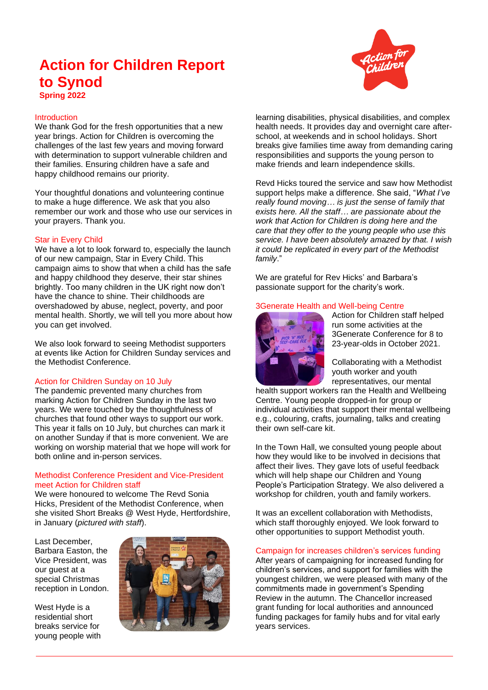# **Action for Children Report to Synod**



## Introduction

We thank God for the fresh opportunities that a new year brings. Action for Children is overcoming the challenges of the last few years and moving forward with determination to support vulnerable children and their families. Ensuring children have a safe and happy childhood remains our priority.

Your thoughtful donations and volunteering continue to make a huge difference. We ask that you also remember our work and those who use our services in your prayers. Thank you.

## Star in Every Child

We have a lot to look forward to, especially the launch of our new campaign, Star in Every Child. This campaign aims to show that when a child has the safe and happy childhood they deserve, their star shines brightly. Too many children in the UK right now don't have the chance to shine. Their childhoods are overshadowed by abuse, neglect, poverty, and poor mental health. Shortly, we will tell you more about how you can get involved.

We also look forward to seeing Methodist supporters at events like Action for Children Sunday services and the Methodist Conference.

# Action for Children Sunday on 10 July

The pandemic prevented many churches from marking Action for Children Sunday in the last two years. We were touched by the thoughtfulness of churches that found other ways to support our work. This year it falls on 10 July, but churches can mark it on another Sunday if that is more convenient. We are working on worship material that we hope will work for both online and in-person services.

## Methodist Conference President and Vice-President meet Action for Children staff

We were honoured to welcome The Revd Sonia Hicks, President of the Methodist Conference, when she visited Short Breaks @ West Hyde, Hertfordshire, in January (*pictured with staff*).

Last December, Barbara Easton, the Vice President, was our guest at a special Christmas reception in London.

West Hyde is a residential short breaks service for young people with



learning disabilities, physical disabilities, and complex health needs. It provides day and overnight care afterschool, at weekends and in school holidays. Short breaks give families time away from demanding caring responsibilities and supports the young person to make friends and learn independence skills.

Revd Hicks toured the service and saw how Methodist support helps make a difference. She said, "*What I've really found moving… is just the sense of family that exists here. All the staff… are passionate about the work that Action for Children is doing here and the care that they offer to the young people who use this service. I have been absolutely amazed by that. I wish it could be replicated in every part of the Methodist family*."

We are grateful for Rev Hicks' and Barbara's passionate support for the charity's work.

# 3Generate Health and Well-being Centre



Action for Children staff helped run some activities at the 3Generate Conference for 8 to 23-year-olds in October 2021.

Collaborating with a Methodist youth worker and youth representatives, our mental

health support workers ran the Health and Wellbeing Centre. Young people dropped-in for group or individual activities that support their mental wellbeing e.g., colouring, crafts, journaling, talks and creating their own self-care kit.

In the Town Hall, we consulted young people about how they would like to be involved in decisions that affect their lives. They gave lots of useful feedback which will help shape our Children and Young People's Participation Strategy. We also delivered a workshop for children, youth and family workers.

It was an excellent collaboration with Methodists, which staff thoroughly enjoyed. We look forward to other opportunities to support Methodist youth.

## Campaign for increases children's services funding

After years of campaigning for increased funding for children's services, and support for families with the youngest children, we were pleased with many of the commitments made in government's Spending Review in the autumn. The Chancellor increased grant funding for local authorities and announced funding packages for family hubs and for vital early years services.